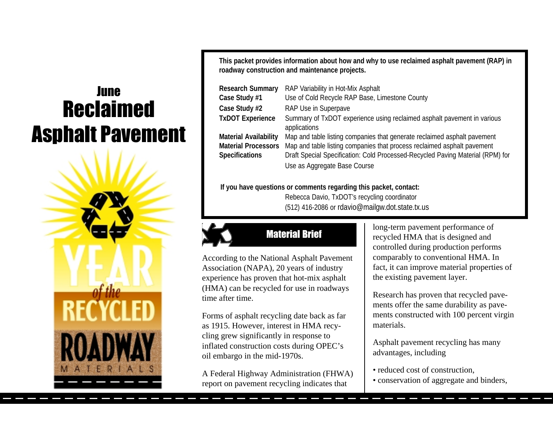# **Reclaimed Asphalt Pavement June**



**This packet provides information about how and why to use reclaimed asphalt pavement (RAP) in roadway construction and maintenance projects.**

| <b>Research Summary</b>      | RAP Variability in Hot-Mix Asphalt                                                      |
|------------------------------|-----------------------------------------------------------------------------------------|
| Case Study #1                | Use of Cold Recycle RAP Base, Limestone County                                          |
| Case Study #2                | RAP Use in Superpave                                                                    |
| <b>TxDOT Experience</b>      | Summary of TxDOT experience using reclaimed asphalt pavement in various<br>applications |
| <b>Material Availability</b> | Map and table listing companies that generate reclaimed asphalt pavement                |
| <b>Material Processors</b>   | Map and table listing companies that process reclaimed asphalt pavement                 |
| <b>Specifications</b>        | Draft Special Specification: Cold Processed-Recycled Paving Material (RPM) for          |
|                              | Use as Aggregate Base Course                                                            |

#### **If you have questions or comments regarding this packet, contact:**

Rebecca Davio, TxDOT's recycling coordinator (512) 416-2086 or rdavio@mailgw.dot.state.tx.us



# **Material Brief**

According to the National Asphalt Pavement Association (NAPA), 20 years of industry experience has proven that hot-mix asphalt (HMA) can be recycled for use in roadways time after time.

Forms of asphalt recycling date back as far as 1915. However, interest in HMA recycling grew significantly in response to inflated construction costs during OPEC's oil embargo in the mid-1970s.

A Federal Highway Administration (FHWA) report on pavement recycling indicates that

long-term pavement performance of recycled HMA that is designed and controlled during production performs comparably to conventional HMA. In fact, it can improve material properties of the existing pavement layer.

Research has proven that recycled pavements offer the same durability as pavements constructed with 100 percent virgin materials.

Asphalt pavement recycling has many advantages, including

- reduced cost of construction,
- conservation of aggregate and binders,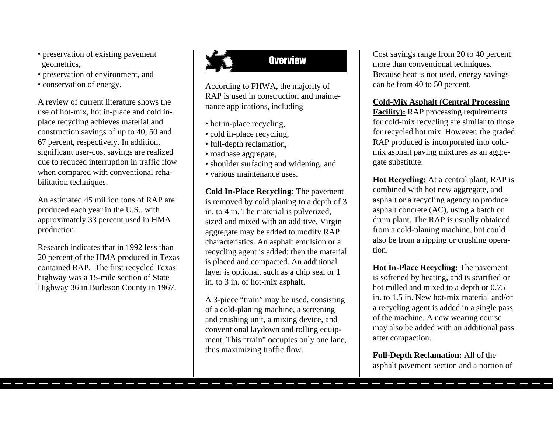- preservation of existing pavement<br> **Existing parameters EXISTENT PROPERTY** geometrics,
- preservation of environment, and
- conservation of energy.

A review of current literature shows the use of hot-mix, hot in-place and cold inplace recycling achieves material and construction savings of up to 40, 50 and 67 percent, respectively. In addition, significant user-cost savings are realized due to reduced interruption in traffic flow when compared with conventional rehabilitation techniques.

An estimated 45 million tons of RAP are produced each year in the U.S., with approximately 33 percent used in HMA production.

Research indicates that in 1992 less than 20 percent of the HMA produced in Texas contained RAP. The first recycled Texas highway was a 15-mile section of State Highway 36 in Burleson County in 1967.

According to FHWA, the majority of RAP is used in construction and maintenance applications, including

- hot in-place recycling,
- cold in-place recycling,
- full-depth reclamation,
- roadbase aggregate,
- shoulder surfacing and widening, and
- various maintenance uses.

**Cold In-Place Recycling:** The pavement is removed by cold planing to a depth of 3 in. to 4 in. The material is pulverized, sized and mixed with an additive. Virgin aggregate may be added to modify RAP characteristics. An asphalt emulsion or a recycling agent is added; then the material is placed and compacted. An additional layer is optional, such as a chip seal or 1 in. to 3 in. of hot-mix asphalt.

A 3-piece "train" may be used, consisting of a cold-planing machine, a screening and crushing unit, a mixing device, and conventional laydown and rolling equipment. This "train" occupies only one lane, thus maximizing traffic flow.

Cost savings range from 20 to 40 percent more than conventional techniques. Because heat is not used, energy savings can be from 40 to 50 percent.

#### **Cold-Mix Asphalt (Central Processing**

**Facility**): RAP processing requirements for cold-mix recycling are similar to those for recycled hot mix. However, the graded RAP produced is incorporated into coldmix asphalt paving mixtures as an aggregate substitute.

**Hot Recycling:** At a central plant, RAP is combined with hot new aggregate, and asphalt or a recycling agency to produce asphalt concrete (AC), using a batch or drum plant. The RAP is usually obtained from a cold-planing machine, but could also be from a ripping or crushing operation.

**Hot In-Place Recycling:** The pavement is softened by heating, and is scarified or hot milled and mixed to a depth or 0.75 in. to 1.5 in. New hot-mix material and/or a recycling agent is added in a single pass of the machine. A new wearing course may also be added with an additional pass after compaction.

**Full-Depth Reclamation:** All of the asphalt pavement section and a portion of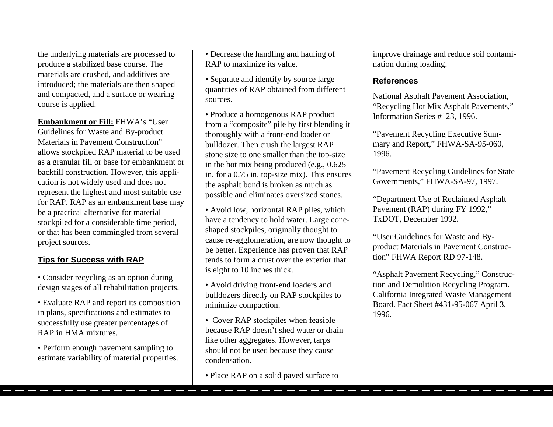the underlying materials are processed to produce a stabilized base course. The materials are crushed, and additives are introduced; the materials are then shaped and compacted, and a surface or wearing course is applied.

**Embankment or Fill:** FHWA's "User Guidelines for Waste and By-product Materials in Pavement Construction" allows stockpiled RAP material to be used as a granular fill or base for embankment or backfill construction. However, this application is not widely used and does not represent the highest and most suitable use for RAP. RAP as an embankment base may be a practical alternative for material stockpiled for a considerable time period, or that has been commingled from several project sources.

## **Tips for Success with RAP**

• Consider recycling as an option during design stages of all rehabilitation projects.

• Evaluate RAP and report its composition in plans, specifications and estimates to successfully use greater percentages of RAP in HMA mixtures.

• Perform enough pavement sampling to estimate variability of material properties. • Decrease the handling and hauling of RAP to maximize its value.

• Separate and identify by source large quantities of RAP obtained from different sources.

• Produce a homogenous RAP product from a "composite" pile by first blending it thoroughly with a front-end loader or bulldozer. Then crush the largest RAP stone size to one smaller than the top-size in the hot mix being produced (e.g., 0.625 in. for a 0.75 in. top-size mix). This ensures the asphalt bond is broken as much as possible and eliminates oversized stones.

• Avoid low, horizontal RAP piles, which have a tendency to hold water. Large coneshaped stockpiles, originally thought to cause re-agglomeration, are now thought to be better. Experience has proven that RAP tends to form a crust over the exterior that is eight to 10 inches thick.

• Avoid driving front-end loaders and bulldozers directly on RAP stockpiles to minimize compaction.

• Cover RAP stockpiles when feasible because RAP doesn't shed water or drain like other aggregates. However, tarps should not be used because they cause condensation.

• Place RAP on a solid paved surface to

improve drainage and reduce soil contamination during loading.

#### **References**

National Asphalt Pavement Association, "Recycling Hot Mix Asphalt Pavements," Information Series #123, 1996.

"Pavement Recycling Executive Summary and Report," FHWA-SA-95-060, 1996.

"Pavement Recycling Guidelines for State Governments," FHWA-SA-97, 1997.

"Department Use of Reclaimed Asphalt Pavement (RAP) during FY 1992," TxDOT, December 1992.

"User Guidelines for Waste and Byproduct Materials in Pavement Construction" FHWA Report RD 97-148.

"Asphalt Pavement Recycling," Construction and Demolition Recycling Program. California Integrated Waste Management Board. Fact Sheet #431-95-067 April 3, 1996.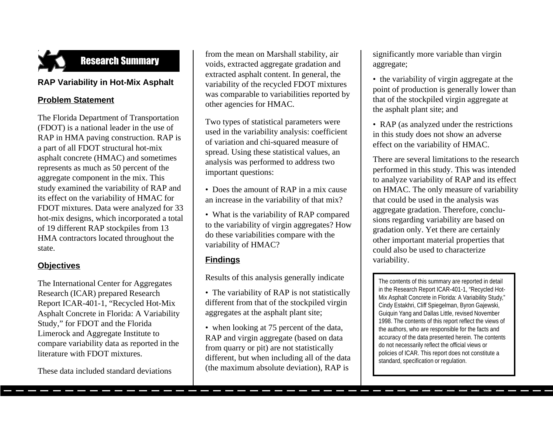

#### **RAP Variability in Hot-Mix Asphalt**

#### **Problem Statement**

The Florida Department of Transportation (FDOT) is a national leader in the use of RAP in HMA paving construction. RAP is a part of all FDOT structural hot-mix asphalt concrete (HMAC) and sometimes represents as much as 50 percent of the aggregate component in the mix. This study examined the variability of RAP and its effect on the variability of HMAC for FDOT mixtures. Data were analyzed for 33 hot-mix designs, which incorporated a total of 19 different RAP stockpiles from 13 HMA contractors located throughout the state.

#### **Objectives**

The International Center for Aggregates Research (ICAR) prepared Research Report ICAR-401-1, "Recycled Hot-Mix Asphalt Concrete in Florida: A Variability Study," for FDOT and the Florida Limerock and Aggregate Institute to compare variability data as reported in the literature with FDOT mixtures.

These data included standard deviations

 from the mean on Marshall stability, air voids, extracted aggregate gradation and extracted asphalt content. In general, the variability of the recycled FDOT mixtures was comparable to variabilities reported by other agencies for HMAC.

Two types of statistical parameters were used in the variability analysis: coefficient of variation and chi-squared measure of spread. Using these statistical values, an analysis was performed to address two important questions:

• Does the amount of RAP in a mix cause an increase in the variability of that mix?

• What is the variability of RAP compared to the variability of virgin aggregates? How do these variabilities compare with the variability of HMAC?

#### **Findings**

Results of this analysis generally indicate

• The variability of RAP is not statistically different from that of the stockpiled virgin aggregates at the asphalt plant site;

• when looking at 75 percent of the data, RAP and virgin aggregate (based on data from quarry or pit) are not statistically different, but when including all of the data (the maximum absolute deviation), RAP is

significantly more variable than virgin aggregate;

- the variability of virgin aggregate at the point of production is generally lower than that of the stockpiled virgin aggregate at the asphalt plant site; and
- RAP (as analyzed under the restrictions in this study does not show an adverse effect on the variability of HMAC.

There are several limitations to the research performed in this study. This was intended to analyze variability of RAP and its effect on HMAC. The only measure of variability that could be used in the analysis was aggregate gradation. Therefore, conclusions regarding variability are based on gradation only. Yet there are certainly other important material properties that could also be used to characterize variability.

The contents of this summary are reported in detail in the Research Report ICAR-401-1, "Recycled Hot-Mix Asphalt Concrete in Florida: A Variability Study," Cindy Estakhri, Cliff Spiegelman, Byron Gajewski, Guiquin Yang and Dallas Little, revised November 1998. The contents of this report reflect the views of the authors, who are responsible for the facts and accuracy of the data presented herein. The contents do not necessarily reflect the official views or policies of ICAR. This report does not constitute a standard, specification or regulation.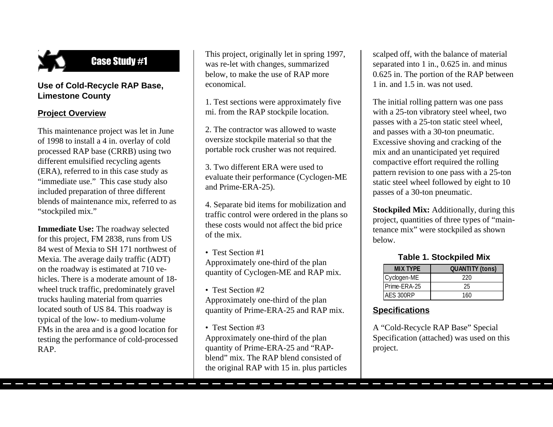

**Case Study #1** 

#### **Use of Cold-Recycle RAP Base, Limestone County**

## **Project Overview**

This maintenance project was let in June of 1998 to install a 4 in. overlay of cold processed RAP base (CRRB) using two different emulsified recycling agents (ERA), referred to in this case study as "immediate use." This case study also included preparation of three different blends of maintenance mix, referred to as "stockpiled mix."

**Immediate Use:** The roadway selected for this project, FM 2838, runs from US 84 west of Mexia to SH 171 northwest of Mexia. The average daily traffic (ADT) on the roadway is estimated at 710 vehicles. There is a moderate amount of 18 wheel truck traffic, predominately gravel trucks hauling material from quarries located south of US 84. This roadway is typical of the low- to medium-volume FMs in the area and is a good location for testing the performance of cold-processed RAP.

This project, originally let in spring 1997, was re-let with changes, summarized below, to make the use of RAP more economical.

1. Test sections were approximately five mi. from the RAP stockpile location.

2. The contractor was allowed to waste oversize stockpile material so that the portable rock crusher was not required.

3. Two different ERA were used to evaluate their performance (Cyclogen-ME and Prime-ERA-25).

4. Separate bid items for mobilization and traffic control were ordered in the plans so these costs would not affect the bid price of the mix.

• Test Section #1 Approximately one-third of the plan quantity of Cyclogen-ME and RAP mix.

- Test Section #2 Approximately one-third of the plan quantity of Prime-ERA-25 and RAP mix.
- Test Section #3 Approximately one-third of the plan quantity of Prime-ERA-25 and "RAPblend" mix. The RAP blend consisted of the original RAP with 15 in. plus particles

scalped off, with the balance of material separated into 1 in., 0.625 in. and minus 0.625 in. The portion of the RAP between 1 in. and 1.5 in. was not used.

The initial rolling pattern was one pass with a 25-ton vibratory steel wheel, two passes with a 25-ton static steel wheel, and passes with a 30-ton pneumatic. Excessive shoving and cracking of the mix and an unanticipated yet required compactive effort required the rolling pattern revision to one pass with a 25-ton static steel wheel followed by eight to 10 passes of a 30-ton pneumatic.

**Stockpiled Mix:** Additionally, during this project, quantities of three types of "maintenance mix" were stockpiled as shown below.

**Table 1. Stockpiled Mix**

| <b>MIX TYPE</b> | <b>QUANTITY (tons)</b> |
|-----------------|------------------------|
| Cyclogen-ME     | 220                    |
| Prime-ERA-25    | 25                     |
| AFS 300RP       | 160                    |

## **Specifications**

A "Cold-Recycle RAP Base" Special Specification (attached) was used on this project.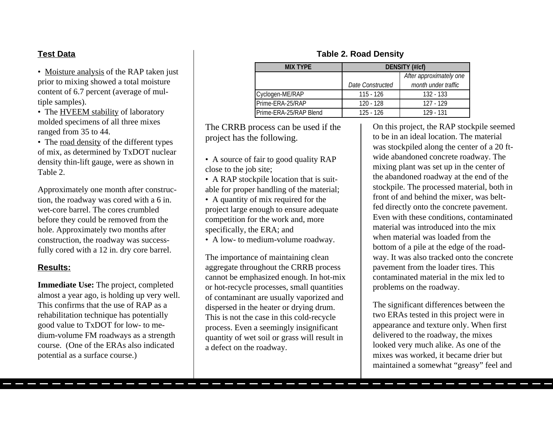#### **Test Data**

• Moisture analysis of the RAP taken just prior to mixing showed a total moisture content of 6.7 percent (average of multiple samples).

• The HVEEM stability of laboratory molded specimens of all three mixes ranged from 35 to 44.

• The road density of the different types of mix, as determined by TxDOT nuclear density thin-lift gauge, were as shown in Table 2.

Approximately one month after construction, the roadway was cored with a 6 in. wet-core barrel. The cores crumbled before they could be removed from the hole. Approximately two months after construction, the roadway was successfully cored with a 12 in. dry core barrel.

#### **Results:**

**Immediate Use:** The project, completed almost a year ago, is holding up very well. This confirms that the use of RAP as a rehabilitation technique has potentially good value to TxDOT for low- to medium-volume FM roadways as a strength course. (One of the ERAs also indicated potential as a surface course.)

#### **MIX TYPE DENSITY (#/cf)** *After approximately one Date Constructed month under traffic* Cyclogen-ME/RAP 115 - 126 132 - 133 Prime-ERA-25/RAP 120 - 128 127 - 129 Prime-ERA-25/RAP Blend 125 - 126 129 - 131

The CRRB process can be used if the project has the following.

- A source of fair to good quality RAP close to the job site;
- A RAP stockpile location that is suitable for proper handling of the material;
- A quantity of mix required for the project large enough to ensure adequate competition for the work and, more specifically, the ERA; and
- A low- to medium-volume roadway.

The importance of maintaining clean aggregate throughout the CRRB process cannot be emphasized enough. In hot-mix or hot-recycle processes, small quantities of contaminant are usually vaporized and dispersed in the heater or drying drum. This is not the case in this cold-recycle process. Even a seemingly insignificant quantity of wet soil or grass will result in a defect on the roadway.

#### On this project, the RAP stockpile seemed to be in an ideal location. The material was stockpiled along the center of a 20 ftwide abandoned concrete roadway. The mixing plant was set up in the center of the abandoned roadway at the end of the stockpile. The processed material, both in front of and behind the mixer, was beltfed directly onto the concrete pavement. Even with these conditions, contaminated material was introduced into the mix when material was loaded from the bottom of a pile at the edge of the roadway. It was also tracked onto the concrete pavement from the loader tires. This contaminated material in the mix led to problems on the roadway.

The significant differences between the two ERAs tested in this project were in appearance and texture only. When first delivered to the roadway, the mixes looked very much alike. As one of the mixes was worked, it became drier but maintained a somewhat "greasy" feel and

#### **Table 2. Road Density**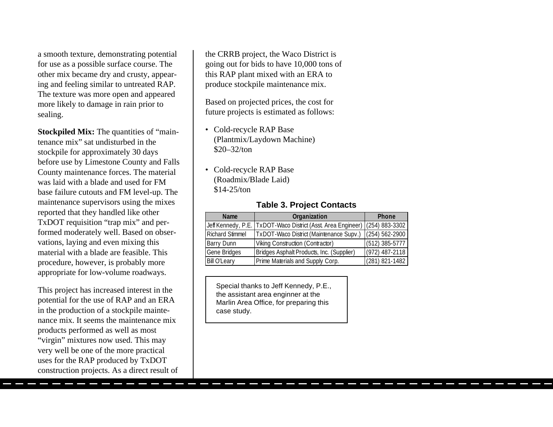a smooth texture, demonstrating potential for use as a possible surface course. The other mix became dry and crusty, appearing and feeling similar to untreated RAP. The texture was more open and appeared more likely to damage in rain prior to sealing.

**Stockpiled Mix:** The quantities of "maintenance mix" sat undisturbed in the stockpile for approximately 30 days before use by Limestone County and Falls County maintenance forces. The material was laid with a blade and used for FM base failure cutouts and FM level-up. The maintenance supervisors using the mixes reported that they handled like other TxDOT requisition "trap mix" and performed moderately well. Based on observations, laying and even mixing this material with a blade are feasible. This procedure, however, is probably more appropriate for low-volume roadways.

This project has increased interest in the potential for the use of RAP and an ERA in the production of a stockpile maintenance mix. It seems the maintenance mix products performed as well as most "virgin" mixtures now used. This may very well be one of the more practical uses for the RAP produced by TxDOT construction projects. As a direct result of the CRRB project, the Waco District is going out for bids to have 10,000 tons of this RAP plant mixed with an ERA to produce stockpile maintenance mix.

Based on projected prices, the cost for future projects is estimated as follows:

- Cold-recycle RAP Base (Plantmix/Laydown Machine) \$20–32/ton
- Cold-recycle RAP Base (Roadmix/Blade Laid) \$14-25/ton

#### **Table 3. Project Contacts**

| <b>Name</b>            | Organization                                                                | <b>Phone</b>       |
|------------------------|-----------------------------------------------------------------------------|--------------------|
|                        | Jeff Kennedy, P.E. TxDOT-Waco District (Asst. Area Engineer) (254) 883-3302 |                    |
| <b>Richard Stimmel</b> | TxDOT-Waco District (Maintenance Supv.)                                     | $(254) 562 - 2900$ |
| <b>Barry Dunn</b>      | Viking Construction (Contractor)                                            | $(512)$ 385-5777   |
| <b>Gene Bridges</b>    | Bridges Asphalt Products, Inc. (Supplier)                                   | $(972)$ 487-2118   |
| <b>Bill O'Leary</b>    | Prime Materials and Supply Corp.                                            | (281) 821-1482     |

Special thanks to Jeff Kennedy, P.E., the assistant area enginner at the Marlin Area Office, for preparing this case study.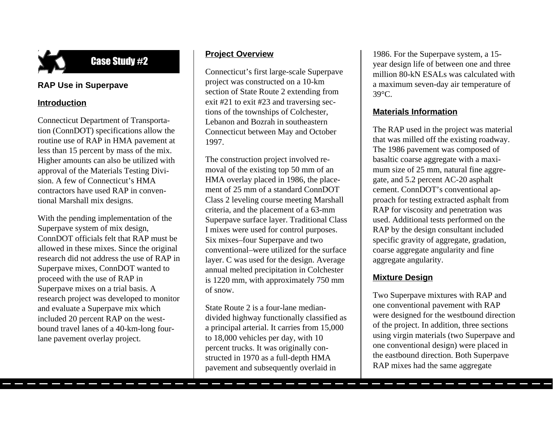

#### **RAP Use in Superpave**

#### **Introduction**

Connecticut Department of Transportation (ConnDOT) specifications allow the routine use of RAP in HMA pavement at less than 15 percent by mass of the mix. Higher amounts can also be utilized with approval of the Materials Testing Division. A few of Connecticut's HMA contractors have used RAP in conventional Marshall mix designs.

With the pending implementation of the Superpave system of mix design, ConnDOT officials felt that RAP must be allowed in these mixes. Since the original research did not address the use of RAP in Superpave mixes, ConnDOT wanted to proceed with the use of RAP in Superpave mixes on a trial basis. A research project was developed to monitor and evaluate a Superpave mix which included 20 percent RAP on the westbound travel lanes of a 40-km-long fourlane pavement overlay project.

## **Project Overview**

Connecticut's first large-scale Superpave project was constructed on a 10-km section of State Route 2 extending from exit #21 to exit #23 and traversing sections of the townships of Colchester, Lebanon and Bozrah in southeastern Connecticut between May and October 1997.

The construction project involved removal of the existing top 50 mm of an HMA overlay placed in 1986, the placement of 25 mm of a standard ConnDOT Class 2 leveling course meeting Marshall criteria, and the placement of a 63-mm Superpave surface layer. Traditional Class I mixes were used for control purposes. Six mixes–four Superpave and two conventional–were utilized for the surface layer. C was used for the design. Average annual melted precipitation in Colchester is 1220 mm, with approximately 750 mm of snow.

State Route 2 is a four-lane mediandivided highway functionally classified as a principal arterial. It carries from 15,000 to 18,000 vehicles per day, with 10 percent trucks. It was originally constructed in 1970 as a full-depth HMA pavement and subsequently overlaid in

1986. For the Superpave system, a 15 year design life of between one and three million 80-kN ESALs was calculated with a maximum seven-day air temperature of 39°C.

#### **Materials Information**

The RAP used in the project was material that was milled off the existing roadway. The 1986 pavement was composed of basaltic coarse aggregate with a maximum size of 25 mm, natural fine aggregate, and 5.2 percent AC-20 asphalt cement. ConnDOT's conventional approach for testing extracted asphalt from RAP for viscosity and penetration was used. Additional tests performed on the RAP by the design consultant included specific gravity of aggregate, gradation, coarse aggregate angularity and fine aggregate angularity.

#### **Mixture Design**

Two Superpave mixtures with RAP and one conventional pavement with RAP were designed for the westbound direction of the project. In addition, three sections using virgin materials (two Superpave and one conventional design) were placed in the eastbound direction. Both Superpave RAP mixes had the same aggregate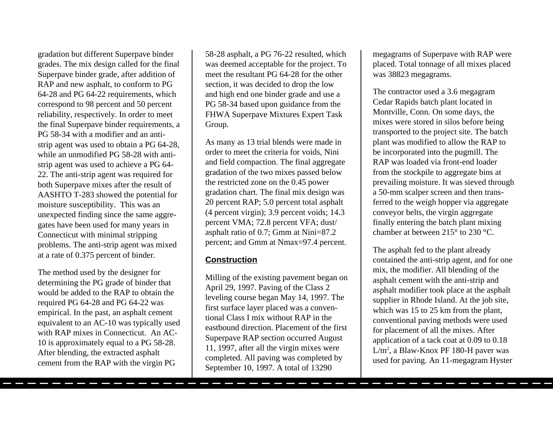gradation but different Superpave binder grades. The mix design called for the final Superpave binder grade, after addition of RAP and new asphalt, to conform to PG 64-28 and PG 64-22 requirements, which correspond to 98 percent and 50 percent reliability, respectively. In order to meet the final Superpave binder requirements, a PG 58-34 with a modifier and an antistrip agent was used to obtain a PG 64-28, while an unmodified PG 58-28 with antistrip agent was used to achieve a PG 64- 22. The anti-strip agent was required for both Superpave mixes after the result of AASHTO T-283 showed the potential for moisture susceptibility. This was an unexpected finding since the same aggregates have been used for many years in Connecticut with minimal stripping problems. The anti-strip agent was mixed at a rate of 0.375 percent of binder.

The method used by the designer for determining the PG grade of binder that would be added to the RAP to obtain the required PG 64-28 and PG 64-22 was empirical. In the past, an asphalt cement equivalent to an AC-10 was typically used with RAP mixes in Connecticut. An AC-10 is approximately equal to a PG 58-28. After blending, the extracted asphalt cement from the RAP with the virgin PG

58-28 asphalt, a PG 76-22 resulted, which was deemed acceptable for the project. To meet the resultant PG 64-28 for the other section, it was decided to drop the low and high end one binder grade and use a PG 58-34 based upon guidance from the FHWA Superpave Mixtures Expert Task Group.

As many as 13 trial blends were made in order to meet the criteria for voids, Nini and field compaction. The final aggregate gradation of the two mixes passed below the restricted zone on the 0.45 power gradation chart. The final mix design was 20 percent RAP; 5.0 percent total asphalt (4 percent virgin); 3.9 percent voids; 14.3 percent VMA; 72.8 percent VFA; dust/ asphalt ratio of 0.7; Gmm at Nini=87.2 percent; and Gmm at Nmax=97.4 percent.

#### **Construction**

Milling of the existing pavement began on April 29, 1997. Paving of the Class 2 leveling course began May 14, 1997. The first surface layer placed was a conventional Class I mix without RAP in the eastbound direction. Placement of the first Superpave RAP section occurred August 11, 1997, after all the virgin mixes were completed. All paving was completed by September 10, 1997. A total of 13290

megagrams of Superpave with RAP were placed. Total tonnage of all mixes placed was 38823 megagrams.

The contractor used a 3.6 megagram Cedar Rapids batch plant located in Montville, Conn. On some days, the mixes were stored in silos before being transported to the project site. The batch plant was modified to allow the RAP to be incorporated into the pugmill. The RAP was loaded via front-end loader from the stockpile to aggregate bins at prevailing moisture. It was sieved through a 50-mm scalper screen and then transferred to the weigh hopper via aggregate conveyor belts, the virgin aggregate finally entering the batch plant mixing chamber at between 215° to 230 °C.

The asphalt fed to the plant already contained the anti-strip agent, and for one mix, the modifier. All blending of the asphalt cement with the anti-strip and asphalt modifier took place at the asphalt supplier in Rhode Island. At the job site, which was 15 to 25 km from the plant, conventional paving methods were used for placement of all the mixes. After application of a tack coat at 0.09 to 0.18 L/m2 , a Blaw-Knox PF 180-H paver was used for paving. An 11-megagram Hyster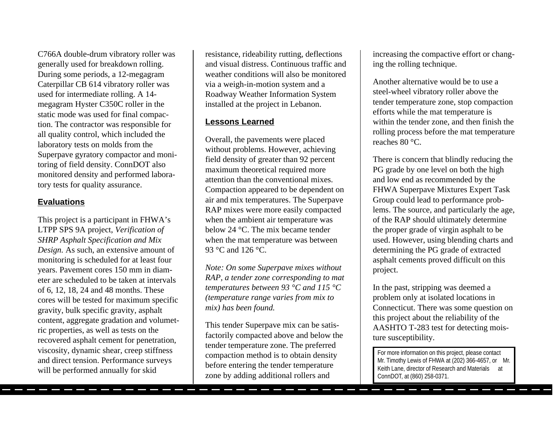C766A double-drum vibratory roller was generally used for breakdown rolling. During some periods, a 12-megagram Caterpillar CB 614 vibratory roller was used for intermediate rolling. A 14 megagram Hyster C350C roller in the static mode was used for final compaction. The contractor was responsible for all quality control, which included the laboratory tests on molds from the Superpave gyratory compactor and monitoring of field density. ConnDOT also monitored density and performed laboratory tests for quality assurance.

#### **Evaluations**

This project is a participant in FHWA's LTPP SPS 9A project, *Verification of SHRP Asphalt Specification and Mix Design.* As such, an extensive amount of monitoring is scheduled for at least four years. Pavement cores 150 mm in diameter are scheduled to be taken at intervals of 6, 12, 18, 24 and 48 months. These cores will be tested for maximum specific gravity, bulk specific gravity, asphalt content, aggregate gradation and volumetric properties, as well as tests on the recovered asphalt cement for penetration, viscosity, dynamic shear, creep stiffness and direct tension. Performance surveys will be performed annually for skid

resistance, rideability rutting, deflections and visual distress. Continuous traffic and weather conditions will also be monitored via a weigh-in-motion system and a Roadway Weather Information System installed at the project in Lebanon.

#### **Lessons Learned**

Overall, the pavements were placed without problems. However, achieving field density of greater than 92 percent maximum theoretical required more attention than the conventional mixes. Compaction appeared to be dependent on air and mix temperatures. The Superpave RAP mixes were more easily compacted when the ambient air temperature was below 24 °C. The mix became tender when the mat temperature was between 93 °C and 126 °C.

*Note: On some Superpave mixes without RAP, a tender zone corresponding to mat temperatures between 93 °C and 115 °C (temperature range varies from mix to mix) has been found.*

This tender Superpave mix can be satisfactorily compacted above and below the tender temperature zone. The preferred compaction method is to obtain density before entering the tender temperature zone by adding additional rollers and

increasing the compactive effort or changing the rolling technique.

Another alternative would be to use a steel-wheel vibratory roller above the tender temperature zone, stop compaction efforts while the mat temperature is within the tender zone, and then finish the rolling process before the mat temperature reaches 80 °C.

There is concern that blindly reducing the PG grade by one level on both the high and low end as recommended by the FHWA Superpave Mixtures Expert Task Group could lead to performance problems. The source, and particularly the age, of the RAP should ultimately determine the proper grade of virgin asphalt to be used. However, using blending charts and determining the PG grade of extracted asphalt cements proved difficult on this project.

In the past, stripping was deemed a problem only at isolated locations in Connecticut. There was some question on this project about the reliability of the AASHTO T-283 test for detecting moisture susceptibility.

For more information on this project, please contact Mr. Timothy Lewis of FHWA at (202) 366-4657, or Mr. Keith Lane, director of Research and Materials at ConnDOT, at (860) 258-0371.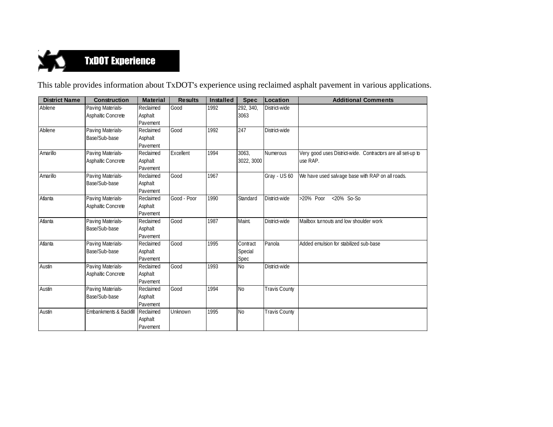

This table provides information about TxDOT's experience using reclaimed asphalt pavement in various applications.

| <b>District Name</b> | <b>Construction</b>               | <b>Material</b> | <b>Results</b> | <b>Installed</b> | <b>Spec</b> | Location             | <b>Additional Comments</b>                                  |
|----------------------|-----------------------------------|-----------------|----------------|------------------|-------------|----------------------|-------------------------------------------------------------|
| Abilene              | Paving Materials-                 | Reclaimed       | Good           | 1992             | 292, 340,   | District-wide        |                                                             |
|                      | Asphaltic Concrete                | Asphalt         |                |                  | 3063        |                      |                                                             |
|                      |                                   | Pavement        |                |                  |             |                      |                                                             |
| Abilene              | Paving Materials-                 | Reclaimed       | Good           | 1992             | 247         | District-wide        |                                                             |
|                      | Base/Sub-base                     | Asphalt         |                |                  |             |                      |                                                             |
|                      |                                   | Pavement        |                |                  |             |                      |                                                             |
| Amarillo             | Paving Materials-                 | Reclaimed       | Excellent      | 1994             | 3063,       | <b>Numerous</b>      | Very good uses District-wide. Contractors are all set-up to |
|                      | Asphaltic Concrete                | Asphalt         |                |                  | 3022, 3000  |                      | use RAP.                                                    |
|                      |                                   | Pavement        |                |                  |             |                      |                                                             |
| Amarillo             | Paving Materials-                 | Reclaimed       | Good           | 1967             |             | Gray - US 60         | We have used salvage base with RAP on all roads.            |
|                      | Base/Sub-base                     | Asphalt         |                |                  |             |                      |                                                             |
|                      |                                   | Pavement        |                |                  |             |                      |                                                             |
| Atlanta              | Paving Materials-                 | Reclaimed       | Good - Poor    | 1990             | Standard    | District-wide        | $< 20\%$ So-So<br>>20% Poor                                 |
|                      | Asphaltic Concrete                | Asphalt         |                |                  |             |                      |                                                             |
|                      |                                   | Pavement        |                |                  |             |                      |                                                             |
| Atlanta              | Paving Materials-                 | Reclaimed       | Good           | 1987             | Maint.      | District-wide        | Mailbox turnouts and low shoulder work                      |
|                      | Base/Sub-base                     | Asphalt         |                |                  |             |                      |                                                             |
|                      |                                   | Pavement        |                |                  |             |                      |                                                             |
| Atlanta              | Paving Materials-                 | Reclaimed       | Good           | 1995             | Contract    | Panola               | Added emulsion for stabilized sub-base                      |
|                      | Base/Sub-base                     | Asphalt         |                |                  | Special     |                      |                                                             |
|                      |                                   | Pavement        |                |                  | Spec        |                      |                                                             |
| Austin               | Paving Materials-                 | Reclaimed       | Good           | 1993             | No          | District-wide        |                                                             |
|                      | Asphaltic Concrete                | Asphalt         |                |                  |             |                      |                                                             |
|                      |                                   | Pavement        |                |                  |             |                      |                                                             |
| Austin               | Paving Materials-                 | Reclaimed       | Good           | 1994             | <b>No</b>   | <b>Travis County</b> |                                                             |
|                      | Base/Sub-base                     | Asphalt         |                |                  |             |                      |                                                             |
|                      |                                   | Pavement        |                |                  |             |                      |                                                             |
| Austin               | <b>Embankments &amp; Backfill</b> | Reclaimed       | Unknown        | 1995             | <b>No</b>   | <b>Travis County</b> |                                                             |
|                      |                                   | Asphalt         |                |                  |             |                      |                                                             |
|                      |                                   | Pavement        |                |                  |             |                      |                                                             |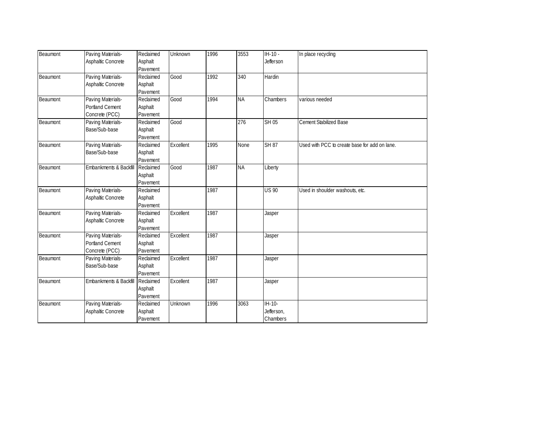| Beaumont | Paving Materials-      | Reclaimed | Unknown   | 1996 | 3553      | $IH-10-$         | In place recycling                            |
|----------|------------------------|-----------|-----------|------|-----------|------------------|-----------------------------------------------|
|          | Asphaltic Concrete     | Asphalt   |           |      |           | <b>Jefferson</b> |                                               |
|          |                        | Pavement  |           |      |           |                  |                                               |
| Beaumont | Paving Materials-      | Reclaimed | Good      | 1992 | 340       | Hardin           |                                               |
|          | Asphaltic Concrete     | Asphalt   |           |      |           |                  |                                               |
|          |                        | Pavement  |           |      |           |                  |                                               |
| Beaumont | Paving Materials-      | Reclaimed | Good      | 1994 | <b>NA</b> | Chambers         | various needed                                |
|          | <b>Portland Cement</b> | Asphalt   |           |      |           |                  |                                               |
|          | Concrete (PCC)         | Pavement  |           |      |           |                  |                                               |
| Beaumont | Paving Materials-      | Reclaimed | Good      |      | 276       | <b>SH 05</b>     | <b>Cement Stabilized Base</b>                 |
|          | Base/Sub-base          | Asphalt   |           |      |           |                  |                                               |
|          |                        | Pavement  |           |      |           |                  |                                               |
| Beaumont | Paving Materials-      | Reclaimed | Excellent | 1995 | None      | <b>SH 87</b>     | Used with PCC to create base for add on lane. |
|          | Base/Sub-base          | Asphalt   |           |      |           |                  |                                               |
|          |                        | Pavement  |           |      |           |                  |                                               |
| Beaumont | Embankments & Backfill | Reclaimed | Good      | 1987 | <b>NA</b> | Liberty          |                                               |
|          |                        | Asphalt   |           |      |           |                  |                                               |
|          |                        | Pavement  |           |      |           |                  |                                               |
| Beaumont | Paving Materials-      | Reclaimed |           | 1987 |           | <b>US 90</b>     | Used in shoulder washouts, etc.               |
|          | Asphaltic Concrete     | Asphalt   |           |      |           |                  |                                               |
|          |                        | Pavement  |           |      |           |                  |                                               |
| Beaumont | Paving Materials-      | Reclaimed | Excellent | 1987 |           | Jasper           |                                               |
|          | Asphaltic Concrete     | Asphalt   |           |      |           |                  |                                               |
|          |                        | Pavement  |           |      |           |                  |                                               |
| Beaumont | Paving Materials-      | Reclaimed | Excellent | 1987 |           | Jasper           |                                               |
|          | Portland Cement        | Asphalt   |           |      |           |                  |                                               |
|          | Concrete (PCC)         | Pavement  |           |      |           |                  |                                               |
| Beaumont | Paving Materials-      | Reclaimed | Excellent | 1987 |           | Jasper           |                                               |
|          | Base/Sub-base          | Asphalt   |           |      |           |                  |                                               |
|          |                        | Pavement  |           |      |           |                  |                                               |
| Beaumont | Embankments & Backfill | Reclaimed | Excellent | 1987 |           | Jasper           |                                               |
|          |                        | Asphalt   |           |      |           |                  |                                               |
|          |                        | Pavement  |           |      |           |                  |                                               |
| Beaumont | Paving Materials-      | Reclaimed | Unknown   | 1996 | 3063      | IH-10-           |                                               |
|          | Asphaltic Concrete     | Asphalt   |           |      |           | Jefferson,       |                                               |
|          |                        | Pavement  |           |      |           | Chambers         |                                               |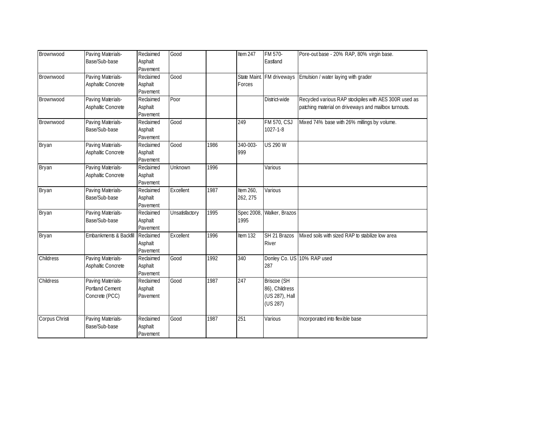| Brownwood      | Paving Materials-      | Reclaimed | Good           |      | Item 247   | FM 570-                   | Pore-out base - 20% RAP, 80% virgin base.             |
|----------------|------------------------|-----------|----------------|------|------------|---------------------------|-------------------------------------------------------|
|                | Base/Sub-base          | Asphalt   |                |      |            | Eastland                  |                                                       |
|                |                        | Pavement  |                |      |            |                           |                                                       |
| Brownwood      | Paving Materials-      | Reclaimed | Good           |      |            | State Maint. FM driveways | Emulsion / water laying with grader                   |
|                | Asphaltic Concrete     | Asphalt   |                |      | Forces     |                           |                                                       |
|                |                        | Pavement  |                |      |            |                           |                                                       |
| Brownwood      | Paving Materials-      | Reclaimed | Poor           |      |            | District-wide             | Recycled various RAP stockpiles with AES 300R used as |
|                | Asphaltic Concrete     | Asphalt   |                |      |            |                           | patching material on driveways and mailbox turnouts.  |
|                |                        | Pavement  |                |      |            |                           |                                                       |
| Brownwood      | Paving Materials-      | Reclaimed | Good           |      | 249        | <b>FM 570, CSJ</b>        | Mixed 74% base with 26% millings by volume.           |
|                | Base/Sub-base          | Asphalt   |                |      |            | $1027 - 1 - 8$            |                                                       |
|                |                        | Pavement  |                |      |            |                           |                                                       |
| Bryan          | Paving Materials-      | Reclaimed | Good           | 1986 | 340-003-   | <b>US 290 W</b>           |                                                       |
|                | Asphaltic Concrete     | Asphalt   |                |      | 999        |                           |                                                       |
|                |                        | Pavement  |                |      |            |                           |                                                       |
| Bryan          | Paving Materials-      | Reclaimed | Unknown        | 1996 |            | Various                   |                                                       |
|                | Asphaltic Concrete     | Asphalt   |                |      |            |                           |                                                       |
|                |                        | Pavement  |                |      |            |                           |                                                       |
| Bryan          | Paving Materials-      | Reclaimed | Excellent      | 1987 | Item 260,  | Various                   |                                                       |
|                | Base/Sub-base          | Asphalt   |                |      | 262, 275   |                           |                                                       |
|                |                        | Pavement  |                |      |            |                           |                                                       |
| Bryan          | Paving Materials-      | Reclaimed | Unsatisfactory | 1995 | Spec 2008, | Walker, Brazos            |                                                       |
|                | Base/Sub-base          | Asphalt   |                |      | 1995       |                           |                                                       |
|                |                        | Pavement  |                |      |            |                           |                                                       |
| Bryan          | Embankments & Backfill | Reclaimed | Excellent      | 1996 | Item 132   | SH 21 Brazos              | Mixed soils with sized RAP to stabilize low area      |
|                |                        | Asphalt   |                |      |            | <b>River</b>              |                                                       |
|                |                        | Pavement  |                |      |            |                           |                                                       |
| Childress      | Paving Materials-      | Reclaimed | Good           | 1992 | 340        |                           | Donley Co. US 10% RAP used                            |
|                | Asphaltic Concrete     | Asphalt   |                |      |            | 287                       |                                                       |
|                |                        | Pavement  |                |      |            |                           |                                                       |
| Childress      | Paving Materials-      | Reclaimed | Good           | 1987 | 247        | <b>Briscoe (SH</b>        |                                                       |
|                | <b>Portland Cement</b> | Asphalt   |                |      |            | 86), Childress            |                                                       |
|                | Concrete (PCC)         | Pavement  |                |      |            | (US 287), Hall            |                                                       |
|                |                        |           |                |      |            | (US 287)                  |                                                       |
|                |                        |           |                | 1987 | 251        |                           |                                                       |
| Corpus Christi | Paving Materials-      | Reclaimed | Good           |      |            | Various                   | Incorporated into flexible base                       |
|                | Base/Sub-base          | Asphalt   |                |      |            |                           |                                                       |
|                |                        | Pavement  |                |      |            |                           |                                                       |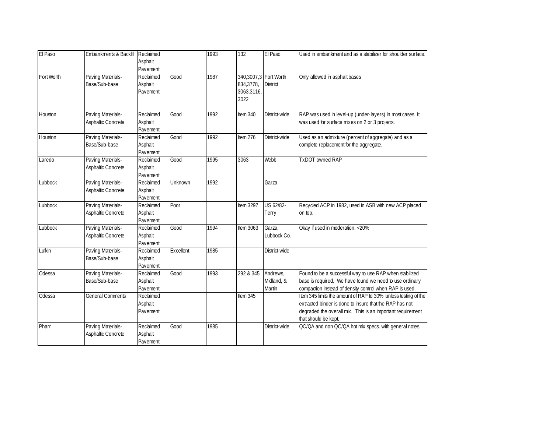| El Paso    | Embankments & Backfill  | Reclaimed |           | 1993 | 132              | El Paso               | Used in embankment and as a stabilizer for shoulder surface.   |
|------------|-------------------------|-----------|-----------|------|------------------|-----------------------|----------------------------------------------------------------|
|            |                         | Asphalt   |           |      |                  |                       |                                                                |
|            |                         | Pavement  |           |      |                  |                       |                                                                |
| Fort Worth | Paving Materials-       | Reclaimed | Good      | 1987 |                  | 340,3007,3 Fort Worth | Only allowed in asphalt bases                                  |
|            | Base/Sub-base           | Asphalt   |           |      | 834,3778,        | <b>District</b>       |                                                                |
|            |                         | Pavement  |           |      | 3063,3116,       |                       |                                                                |
|            |                         |           |           |      | 3022             |                       |                                                                |
|            |                         |           |           |      |                  |                       |                                                                |
| Houston    | Paving Materials-       | Reclaimed | Good      | 1992 | Item 340         | District-wide         | RAP was used in level-up (under-layers) in most cases. It      |
|            | Asphaltic Concrete      | Asphalt   |           |      |                  |                       | was used for surface mixes on 2 or 3 projects.                 |
|            |                         | Pavement  |           |      |                  |                       |                                                                |
| Houston    | Paving Materials-       | Reclaimed | Good      | 1992 | Item 276         | District-wide         | Used as an admixture (percent of aggregate) and as a           |
|            | Base/Sub-base           | Asphalt   |           |      |                  |                       | complete replacement for the aggregate.                        |
|            |                         | Pavement  |           |      |                  |                       |                                                                |
| Laredo     | Paving Materials-       | Reclaimed | Good      | 1995 | 3063             | Webb                  | <b>TxDOT</b> owned RAP                                         |
|            | Asphaltic Concrete      | Asphalt   |           |      |                  |                       |                                                                |
|            |                         | Pavement  |           |      |                  |                       |                                                                |
| Lubbock    | Paving Materials-       | Reclaimed | Unknown   | 1992 |                  | Garza                 |                                                                |
|            | Asphaltic Concrete      | Asphalt   |           |      |                  |                       |                                                                |
|            |                         | Pavement  |           |      |                  |                       |                                                                |
| Lubbock    | Paving Materials-       | Reclaimed | Poor      |      | <b>Item 3297</b> | US 62/82-             | Recycled ACP in 1982, used in ASB with new ACP placed          |
|            | Asphaltic Concrete      | Asphalt   |           |      |                  | Terry                 | on top.                                                        |
|            |                         | Pavement  |           |      |                  |                       |                                                                |
| Lubbock    | Paving Materials-       | Reclaimed | Good      | 1994 | Item 3063        | Garza,                | Okay if used in moderation, <20%                               |
|            | Asphaltic Concrete      | Asphalt   |           |      |                  | Lubbock Co.           |                                                                |
|            |                         | Pavement  |           |      |                  |                       |                                                                |
| Lufkin     | Paving Materials-       | Reclaimed | Excellent | 1985 |                  | District-wide         |                                                                |
|            | Base/Sub-base           | Asphalt   |           |      |                  |                       |                                                                |
|            |                         | Pavement  |           |      |                  |                       |                                                                |
| Odessa     | Paving Materials-       | Reclaimed | Good      | 1993 | 292 & 345        | Andrews,              | Found to be a successful way to use RAP when stabilized        |
|            | Base/Sub-base           | Asphalt   |           |      |                  | Midland, &            | base is required. We have found we need to use ordinary        |
|            |                         | Pavement  |           |      |                  | Martin                | compaction instead of density control when RAP is used.        |
| Odessa     | <b>General Comments</b> | Reclaimed |           |      | Item 345         |                       | Item 345 limits the amount of RAP to 30% unless testing of the |
|            |                         | Asphalt   |           |      |                  |                       | extracted binder is done to insure that the RAP has not        |
|            |                         | Pavement  |           |      |                  |                       | degraded the overall mix. This is an important requirement     |
|            |                         |           |           |      |                  |                       | that should be kept.                                           |
| Pharr      | Paving Materials-       | Reclaimed | Good      | 1985 |                  | District-wide         | QC/QA and non QC/QA hot mix specs. with general notes.         |
|            | Asphaltic Concrete      | Asphalt   |           |      |                  |                       |                                                                |
|            |                         | Pavement  |           |      |                  |                       |                                                                |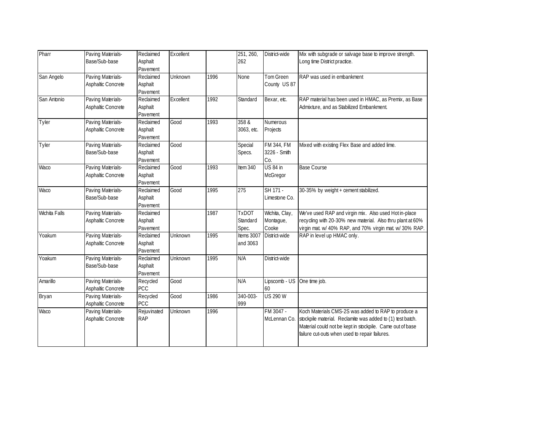| Pharr                | Paving Materials-  | Reclaimed   | Excellent      |      | 251, 260,    | District-wide     | Mix with subgrade or salvage base to improve strength.     |
|----------------------|--------------------|-------------|----------------|------|--------------|-------------------|------------------------------------------------------------|
|                      | Base/Sub-base      | Asphalt     |                |      | 262          |                   | Long time District practice.                               |
|                      |                    | Pavement    |                |      |              |                   |                                                            |
| San Angelo           | Paving Materials-  | Reclaimed   | Unknown        | 1996 | None         | <b>Tom Green</b>  | RAP was used in embankment                                 |
|                      | Asphaltic Concrete | Asphalt     |                |      |              | County US 87      |                                                            |
|                      |                    | Pavement    |                |      |              |                   |                                                            |
| San Antonio          | Paving Materials-  | Reclaimed   | Excellent      | 1992 | Standard     | Bexar, etc.       | RAP material has been used in HMAC, as Premix, as Base     |
|                      | Asphaltic Concrete | Asphalt     |                |      |              |                   | Admixture, and as Stabilized Embankment.                   |
|                      |                    | Pavement    |                |      |              |                   |                                                            |
| Tyler                | Paving Materials-  | Reclaimed   | Good           | 1993 | 358 &        | Numerous          |                                                            |
|                      | Asphaltic Concrete | Asphalt     |                |      | 3063, etc.   | Projects          |                                                            |
|                      |                    | Pavement    |                |      |              |                   |                                                            |
| Tyler                | Paving Materials-  | Reclaimed   | Good           |      | Special      | <b>FM 344, FM</b> | Mixed with existing Flex Base and added lime.              |
|                      | Base/Sub-base      | Asphalt     |                |      | Specs.       | 3226 - Smith      |                                                            |
|                      |                    | Pavement    |                |      |              | Co.               |                                                            |
| Waco                 | Paving Materials-  | Reclaimed   | Good           | 1993 | Item 340     | <b>US 84 in</b>   | <b>Base Course</b>                                         |
|                      | Asphaltic Concrete | Asphalt     |                |      |              | McGregor          |                                                            |
|                      |                    | Pavement    |                |      |              |                   |                                                            |
| Waco                 | Paving Materials-  | Reclaimed   | Good           | 1995 | 275          | SH 171 -          | 30-35% by weight + cement stabilized.                      |
|                      | Base/Sub-base      | Asphalt     |                |      |              | Limestone Co.     |                                                            |
|                      |                    | Pavement    |                |      |              |                   |                                                            |
| <b>Wichita Falls</b> | Paving Materials-  | Reclaimed   |                | 1987 | <b>TxDOT</b> | Wichita, Clay,    | We've used RAP and virgin mix. Also used Hot in-place      |
|                      | Asphaltic Concrete | Asphalt     |                |      | Standard     | Montague,         | recycling with 20-30% new material. Also thru plant at 60% |
|                      |                    | Pavement    |                |      | Spec.        | Cooke             | virgin mat. w/ 40% RAP, and 70% virgin mat. w/ 30% RAP.    |
| Yoakum               | Paving Materials-  | Reclaimed   | <b>Unknown</b> | 1995 | Items 3007   | District-wide     | RAP in level up HMAC only.                                 |
|                      | Asphaltic Concrete | Asphalt     |                |      | and 3063     |                   |                                                            |
|                      |                    | Pavement    |                |      |              |                   |                                                            |
| Yoakum               | Paving Materials-  | Reclaimed   | Unknown        | 1995 | N/A          | District-wide     |                                                            |
|                      | Base/Sub-base      | Asphalt     |                |      |              |                   |                                                            |
|                      |                    | Pavement    |                |      |              |                   |                                                            |
| Amarillo             | Paving Materials-  | Recycled    | Good           |      | N/A          | Lipscomb - US     | One time job.                                              |
|                      | Asphaltic Concrete | PCC         |                |      |              | 60                |                                                            |
| Bryan                | Paving Materials-  | Recycled    | Good           | 1986 | 340-003-     | <b>US 290 W</b>   |                                                            |
|                      | Asphaltic Concrete | PCC         |                |      | 999          |                   |                                                            |
| Waco                 | Paving Materials-  | Rejuvinated | Unknown        | 1996 |              | FM 3047 -         | Koch Materials CMS-2S was added to RAP to produce a        |
|                      | Asphaltic Concrete | <b>RAP</b>  |                |      |              | McLennan Co.      | stockpile material. Reclamite was added to (1) test batch. |
|                      |                    |             |                |      |              |                   | Material could not be kept in stockpile. Came out of base  |
|                      |                    |             |                |      |              |                   | failure cut-outs when used to repair failures.             |
|                      |                    |             |                |      |              |                   |                                                            |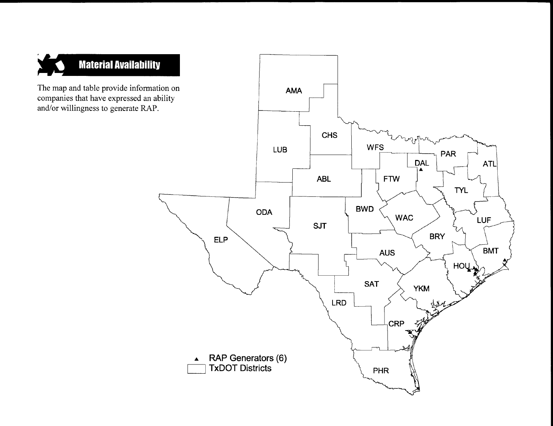

The map and table provide information on companies that have expressed an ability and/or willingness to generate RAP.

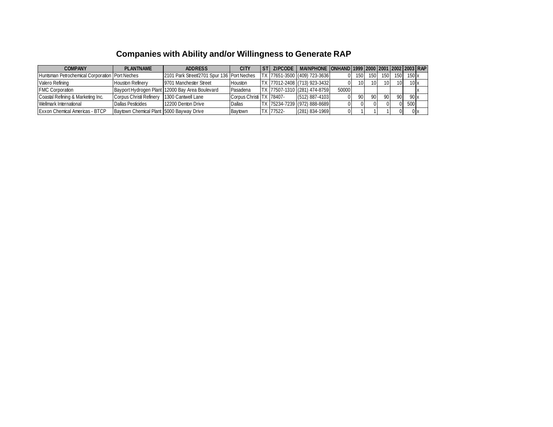# **Companies with Ability and/or Willingness to Generate RAP**

| <b>COMPANY</b>                                  | <b>PLANTNAME</b>                           | <b>ADDRESS</b>                                  | <b>CITY</b>              | <b>ZIPCODE</b> | MAINPHONE ONHAND 1999 2000 2001 2002 2003 RAP |       |      |     |                 |                 |        |  |
|-------------------------------------------------|--------------------------------------------|-------------------------------------------------|--------------------------|----------------|-----------------------------------------------|-------|------|-----|-----------------|-----------------|--------|--|
| Huntsman Petrochemical Corporation IPort Neches |                                            | 2101 Park Street/2701 Spur 136 Port Neches      |                          |                | TX 77651-3500 (409) 723-3636                  |       | 150  | 150 | 150             | 150             | 150x   |  |
| Valero Refining                                 | <b>Houston Refinery</b>                    | 19701 Manchester Street                         | <b>Houston</b>           |                | TX 77012-2408 (713) 923-3432                  |       | 10I  | 10I | 10 <sup>1</sup> | 10 <sup>1</sup> | 10x    |  |
| <b>FMC Corporation</b>                          |                                            | Bavport Hydrogen Plant 12000 Bay Area Boulevard | Pasadena                 |                | TX 77507-1310 (281) 474-8759                  | 50000 |      |     |                 |                 |        |  |
| Coastal Refining & Marketing Inc.               | Corpus Christi Refinery 1300 Cantwell Lane |                                                 | Corpus Christi TX 78407- |                | $(512)$ 887-4103                              |       | 90 I | 90I | 90              | 90              | 90x    |  |
| Wellmark International                          | <b>Dallas Pesticides</b>                   | 12200 Denton Drive                              | Dallas                   |                | TX 75234-7239 (972) 888-8689                  |       |      |     |                 | N               | 500    |  |
| <b>Exxon Chemical Americas - BTCP</b>           | Baytown Chemical Plant 15000 Bayway Drive  |                                                 | <b>Baytown</b>           | TX 77522-      | $(281) 834 - 1969$                            |       |      |     |                 |                 | $0\nu$ |  |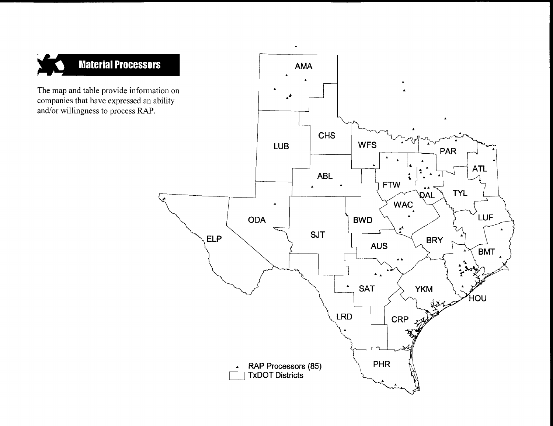

The map and table provide information on companies that have expressed an ability and/or willingness to process RAP.

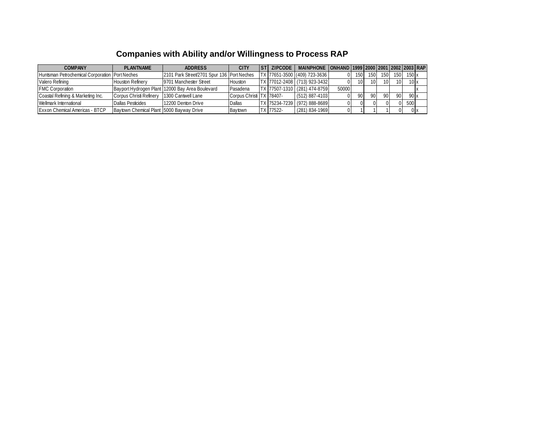# **Companies with Ability and/or Willingness to Process RAP**

| <b>COMPANY</b>                                   | <b>PLANTNAME</b>                            | <b>ADDRESS</b>                                  | CITY                     |           | ZIPCODE   MAINPHONE   ONHAND   1999   2000   2001   2002   2003   RAP |       |                 |                  |                 |                  |       |  |
|--------------------------------------------------|---------------------------------------------|-------------------------------------------------|--------------------------|-----------|-----------------------------------------------------------------------|-------|-----------------|------------------|-----------------|------------------|-------|--|
| Huntsman Petrochemical Corporation   Port Neches |                                             | 2101 Park Street/2701 Spur 136 Port Neches      |                          |           | TX 77651-3500 (409) 723-3636                                          |       | 150             | 150 <sup>1</sup> | 150             | 150 <sub>1</sub> | 150x  |  |
| Valero Refining                                  | <b>Houston Refinery</b>                     | 9701 Manchester Street                          | <b>Houston</b>           |           | TX 77012-2408 (713) 923-3432                                          |       | 10 <sup>1</sup> | 10I              | 10 <sup>1</sup> | 10               | 10x   |  |
| <b>FMC Corporation</b>                           |                                             | Bayport Hydrogen Plant 12000 Bay Area Boulevard | Pasadena                 |           | <b>TX 77507-1310 (281) 474-8759</b>                                   | 50000 |                 |                  |                 |                  |       |  |
| Coastal Refining & Marketing Inc.                | Corpus Christi Refinery 11300 Cantwell Lane |                                                 | Corpus Christi TX 78407- |           | $(512)$ 887-4103                                                      |       | 90              | 90               | 90              | 90               | 90x   |  |
| Wellmark International                           | <b>Dallas Pesticides</b>                    | 12200 Denton Drive                              | <b>Dallas</b>            |           | TX 75234-7239 (972) 888-8689                                          |       |                 |                  |                 |                  | 500   |  |
| <b>Exxon Chemical Americas - BTCP</b>            | Baytown Chemical Plant 5000 Bayway Drive    |                                                 | Baytown                  | TX 77522- | $(281) 834 - 1969$                                                    |       |                 |                  |                 |                  | 0 I x |  |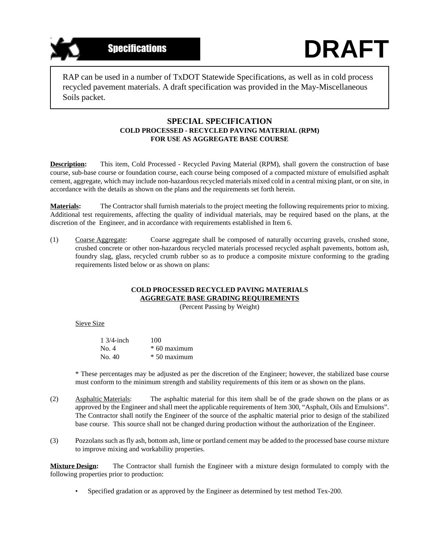

RAP can be used in a number of TxDOT Statewide Specifications, as well as in cold process recycled pavement materials. A draft specification was provided in the May-Miscellaneous Soils packet.

#### **SPECIAL SPECIFICATION COLD PROCESSED - RECYCLED PAVING MATERIAL (RPM) FOR USE AS AGGREGATE BASE COURSE**

**Description:** This item, Cold Processed - Recycled Paving Material (RPM), shall govern the construction of base course, sub-base course or foundation course, each course being composed of a compacted mixture of emulsified asphalt cement, aggregate, which may include non-hazardous recycled materials mixed cold in a central mixing plant, or on site, in accordance with the details as shown on the plans and the requirements set forth herein.

**Materials:** The Contractor shall furnish materials to the project meeting the following requirements prior to mixing. Additional test requirements, affecting the quality of individual materials, may be required based on the plans, at the discretion of the Engineer, and in accordance with requirements established in Item 6.

(1) Coarse Aggregate: Coarse aggregate shall be composed of naturally occurring gravels, crushed stone, crushed concrete or other non-hazardous recycled materials processed recycled asphalt pavements, bottom ash, foundry slag, glass, recycled crumb rubber so as to produce a composite mixture conforming to the grading requirements listed below or as shown on plans:

#### **COLD PROCESSED RECYCLED PAVING MATERIALS AGGREGATE BASE GRADING REQUIREMENTS**

(Percent Passing by Weight)

Sieve Size

| $1.3/4$ -inch | 100            |
|---------------|----------------|
| No. 4         | $*$ 60 maximum |
| No. 40        | $*50$ maximum  |

\* These percentages may be adjusted as per the discretion of the Engineer; however, the stabilized base course must conform to the minimum strength and stability requirements of this item or as shown on the plans.

- (2) Asphaltic Materials: The asphaltic material for this item shall be of the grade shown on the plans or as approved by the Engineer and shall meet the applicable requirements of Item 300, "Asphalt, Oils and Emulsions". The Contractor shall notify the Engineer of the source of the asphaltic material prior to design of the stabilized base course. This source shall not be changed during production without the authorization of the Engineer.
- (3) Pozzolans such as fly ash, bottom ash, lime or portland cement may be added to the processed base course mixture to improve mixing and workability properties.

**Mixture Design:** The Contractor shall furnish the Engineer with a mixture design formulated to comply with the following properties prior to production:

• Specified gradation or as approved by the Engineer as determined by test method Tex-200.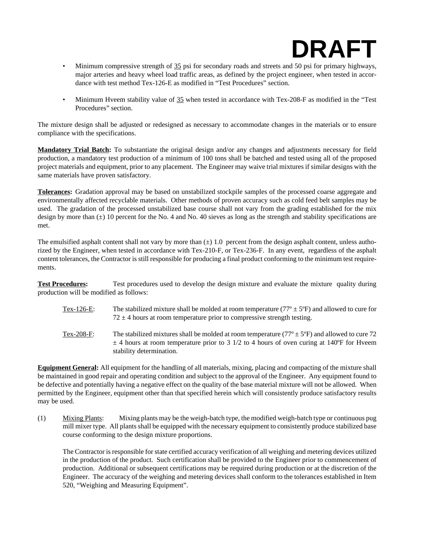# **DRAFT**

- Minimum compressive strength of 35 psi for secondary roads and streets and 50 psi for primary highways, major arteries and heavy wheel load traffic areas, as defined by the project engineer, when tested in accordance with test method Tex-126-E as modified in "Test Procedures" section.
- Minimum Hveem stability value of 35 when tested in accordance with Tex-208-F as modified in the "Test Procedures" section.

The mixture design shall be adjusted or redesigned as necessary to accommodate changes in the materials or to ensure compliance with the specifications.

**Mandatory Trial Batch:** To substantiate the original design and/or any changes and adjustments necessary for field production, a mandatory test production of a minimum of 100 tons shall be batched and tested using all of the proposed project materials and equipment, prior to any placement. The Engineer may waive trial mixtures if similar designs with the same materials have proven satisfactory.

**Tolerances:** Gradation approval may be based on unstabilized stockpile samples of the processed coarse aggregate and environmentally affected recyclable materials. Other methods of proven accuracy such as cold feed belt samples may be used. The gradation of the processed unstabilized base course shall not vary from the grading established for the mix design by more than  $(\pm)$  10 percent for the No. 4 and No. 40 sieves as long as the strength and stability specifications are met.

The emulsified asphalt content shall not vary by more than  $(\pm)$  1.0 percent from the design asphalt content, unless authorized by the Engineer, when tested in accordance with Tex-210-F, or Tex-236-F. In any event, regardless of the asphalt content tolerances, the Contractor is still responsible for producing a final product conforming to the minimum test requirements.

**Test Procedures:** Test procedures used to develop the design mixture and evaluate the mixture quality during production will be modified as follows:

- Tex-126-E: The stabilized mixture shall be molded at room temperature ( $77^{\circ} \pm 5^{\circ}$ F) and allowed to cure for  $72 \pm 4$  hours at room temperature prior to compressive strength testing.
- Tex-208-F: The stabilized mixtures shall be molded at room temperature ( $77^{\circ} \pm 5^{\circ}$ F) and allowed to cure 72  $\pm$  4 hours at room temperature prior to 3 1/2 to 4 hours of oven curing at 140°F for Hveem stability determination.

**Equipment General:** All equipment for the handling of all materials, mixing, placing and compacting of the mixture shall be maintained in good repair and operating condition and subject to the approval of the Engineer. Any equipment found to be defective and potentially having a negative effect on the quality of the base material mixture will not be allowed. When permitted by the Engineer, equipment other than that specified herein which will consistently produce satisfactory results may be used.

(1) Mixing Plants: Mixing plants may be the weigh-batch type, the modified weigh-batch type or continuous pug mill mixer type. All plants shall be equipped with the necessary equipment to consistently produce stabilized base course conforming to the design mixture proportions.

The Contractor is responsible for state certified accuracy verification of all weighing and metering devices utilized in the production of the product. Such certification shall be provided to the Engineer prior to commencement of production. Additional or subsequent certifications may be required during production or at the discretion of the Engineer. The accuracy of the weighing and metering devices shall conform to the tolerances established in Item 520, "Weighing and Measuring Equipment".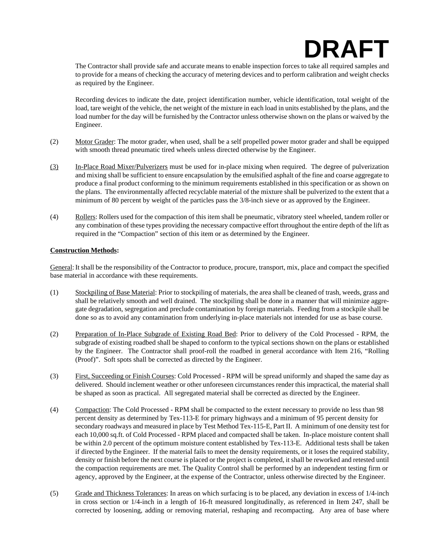# **DRAFT**

The Contractor shall provide safe and accurate means to enable inspection forces to take all required samples and to provide for a means of checking the accuracy of metering devices and to perform calibration and weight checks as required by the Engineer.

Recording devices to indicate the date, project identification number, vehicle identification, total weight of the load, tare weight of the vehicle, the net weight of the mixture in each load in units established by the plans, and the load number for the day will be furnished by the Contractor unless otherwise shown on the plans or waived by the Engineer.

- (2) Motor Grader: The motor grader, when used, shall be a self propelled power motor grader and shall be equipped with smooth thread pneumatic tired wheels unless directed otherwise by the Engineer.
- (3) In-Place Road Mixer/Pulverizers must be used for in-place mixing when required. The degree of pulverization and mixing shall be sufficient to ensure encapsulation by the emulsified asphalt of the fine and coarse aggregate to produce a final product conforming to the minimum requirements established in this specification or as shown on the plans. The environmentally affected recyclable material of the mixture shall be pulverized to the extent that a minimum of 80 percent by weight of the particles pass the 3/8-inch sieve or as approved by the Engineer.
- (4) Rollers: Rollers used for the compaction of this item shall be pneumatic, vibratory steel wheeled, tandem roller or any combination of these types providing the necessary compactive effort throughout the entire depth of the lift as required in the "Compaction" section of this item or as determined by the Engineer.

#### **Construction Methods:**

General: It shall be the responsibility of the Contractor to produce, procure, transport, mix, place and compact the specified base material in accordance with these requirements.

- (1) Stockpiling of Base Material: Prior to stockpiling of materials, the area shall be cleaned of trash, weeds, grass and shall be relatively smooth and well drained. The stockpiling shall be done in a manner that will minimize aggregate degradation, segregation and preclude contamination by foreign materials. Feeding from a stockpile shall be done so as to avoid any contamination from underlying in-place materials not intended for use as base course.
- (2) Preparation of In-Place Subgrade of Existing Road Bed: Prior to delivery of the Cold Processed RPM, the subgrade of existing roadbed shall be shaped to conform to the typical sections shown on the plans or established by the Engineer. The Contractor shall proof-roll the roadbed in general accordance with Item 216, "Rolling (Proof)". Soft spots shall be corrected as directed by the Engineer.
- (3) First, Succeeding or Finish Courses: Cold Processed RPM will be spread uniformly and shaped the same day as delivered. Should inclement weather or other unforeseen circumstances render this impractical, the material shall be shaped as soon as practical. All segregated material shall be corrected as directed by the Engineer.
- (4) Compaction: The Cold Processed RPM shall be compacted to the extent necessary to provide no less than 98 percent density as determined by Tex-113-E for primary highways and a minimum of 95 percent density for secondary roadways and measured in place by Test Method Tex-115-E, Part II. A minimum of one density test for each 10,000 sq.ft. of Cold Processed - RPM placed and compacted shall be taken. In-place moisture content shall be within 2.0 percent of the optimum moisture content established by Tex-113-E. Additional tests shall be taken if directed bythe Engineer. If the material fails to meet the density requirements, or it loses the required stability, density or finish before the next course is placed or the project is completed, it shall be reworked and retested until the compaction requirements are met. The Quality Control shall be performed by an independent testing firm or agency, approved by the Engineer, at the expense of the Contractor, unless otherwise directed by the Engineer.
- (5) Grade and Thickness Tolerances: In areas on which surfacing is to be placed, any deviation in excess of 1/4-inch in cross section or 1/4-inch in a length of 16-ft measured longitudinally, as referenced in Item 247, shall be corrected by loosening, adding or removing material, reshaping and recompacting. Any area of base where